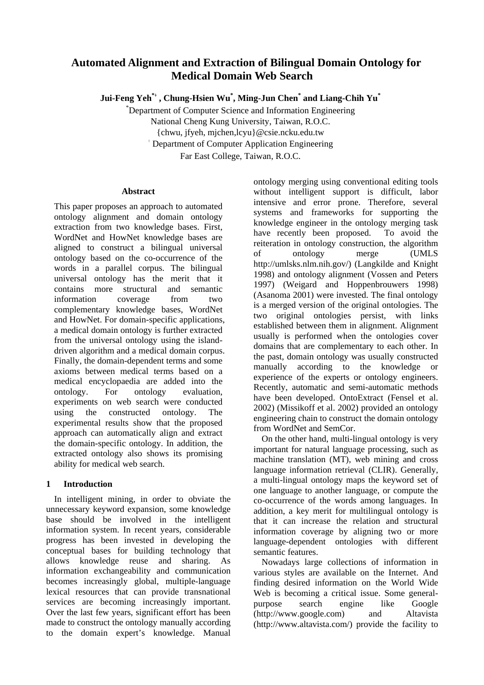# **Automated Alignment and Extraction of Bilingual Domain Ontology for Medical Domain Web Search**

**Jui-Feng Yeh\***<sup>﹢</sup> **, Chung-Hsien Wu\* , Ming-Jun Chen\* and Liang-Chih Yu\***

\* Department of Computer Science and Information Engineering National Cheng Kung University, Taiwan, R.O.C. {chwu, jfyeh, mjchen,lcyu}@csie.ncku.edu.tw

﹢ Department of Computer Application Engineering

Far East College, Taiwan, R.O.C.

## **Abstract**

This paper proposes an approach to automated ontology alignment and domain ontology extraction from two knowledge bases. First, WordNet and HowNet knowledge bases are aligned to construct a bilingual universal ontology based on the co-occurrence of the words in a parallel corpus. The bilingual universal ontology has the merit that it contains more structural and semantic information coverage from two complementary knowledge bases, WordNet and HowNet. For domain-specific applications, a medical domain ontology is further extracted from the universal ontology using the islanddriven algorithm and a medical domain corpus. Finally, the domain-dependent terms and some axioms between medical terms based on a medical encyclopaedia are added into the ontology. For ontology evaluation, experiments on web search were conducted using the constructed ontology. The experimental results show that the proposed approach can automatically align and extract the domain-specific ontology. In addition, the extracted ontology also shows its promising ability for medical web search.

## **1 Introduction**

In intelligent mining, in order to obviate the unnecessary keyword expansion, some knowledge base should be involved in the intelligent information system. In recent years, considerable progress has been invested in developing the conceptual bases for building technology that allows knowledge reuse and sharing. As information exchangeability and communication becomes increasingly global, multiple-language lexical resources that can provide transnational services are becoming increasingly important. Over the last few years, significant effort has been made to construct the ontology manually according to the domain expert's knowledge. Manual ontology merging using conventional editing tools without intelligent support is difficult, labor intensive and error prone. Therefore, several systems and frameworks for supporting the knowledge engineer in the ontology merging task have recently been proposed. To avoid the reiteration in ontology construction, the algorithm of ontology merge (UMLS http://umlsks.nlm.nih.gov/) (Langkilde and Knight 1998) and ontology alignment (Vossen and Peters 1997) (Weigard and Hoppenbrouwers 1998) (Asanoma 2001) were invested. The final ontology is a merged version of the original ontologies. The two original ontologies persist, with links established between them in alignment. Alignment usually is performed when the ontologies cover domains that are complementary to each other. In the past, domain ontology was usually constructed manually according to the knowledge or experience of the experts or ontology engineers. Recently, automatic and semi-automatic methods have been developed. OntoExtract (Fensel et al. 2002) (Missikoff et al. 2002) provided an ontology engineering chain to construct the domain ontology from WordNet and SemCor.

On the other hand, multi-lingual ontology is very important for natural language processing, such as machine translation (MT), web mining and cross language information retrieval (CLIR). Generally, a multi-lingual ontology maps the keyword set of one language to another language, or compute the co-occurrence of the words among languages. In addition, a key merit for multilingual ontology is that it can increase the relation and structural information coverage by aligning two or more language-dependent ontologies with different semantic features.

Nowadays large collections of information in various styles are available on the Internet. And finding desired information on the World Wide Web is becoming a critical issue. Some generalpurpose search engine like Google (http://www.google.com) and Altavista (http://www.altavista.com/) provide the facility to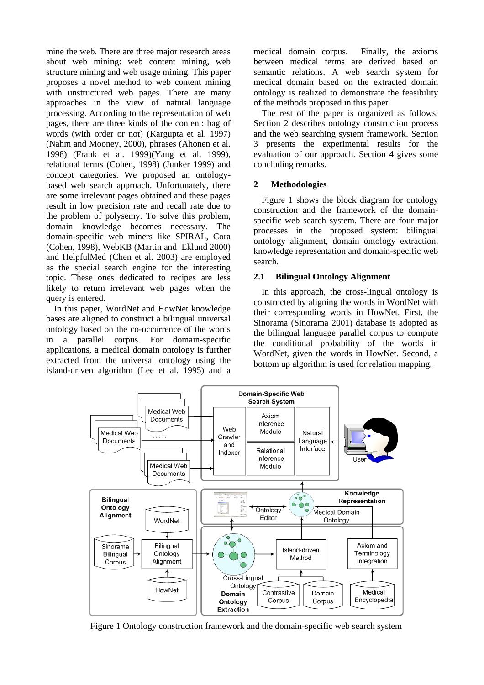mine the web. There are three major research areas about web mining: web content mining, web structure mining and web usage mining. This paper proposes a novel method to web content mining with unstructured web pages. There are many approaches in the view of natural language processing. According to the representation of web pages, there are three kinds of the content: bag of words (with order or not) (Kargupta et al. 1997) (Nahm and Mooney, 2000), phrases (Ahonen et al. 1998) (Frank et al. 1999)(Yang et al. 1999), relational terms (Cohen, 1998) (Junker 1999) and concept categories. We proposed an ontologybased web search approach. Unfortunately, there are some irrelevant pages obtained and these pages result in low precision rate and recall rate due to the problem of polysemy. To solve this problem, domain knowledge becomes necessary. The domain-specific web miners like SPIRAL, Cora (Cohen, 1998), WebKB (Martin and Eklund 2000) and HelpfulMed (Chen et al. 2003) are employed as the special search engine for the interesting topic. These ones dedicated to recipes are less likely to return irrelevant web pages when the query is entered.

In this paper, WordNet and HowNet knowledge bases are aligned to construct a bilingual universal ontology based on the co-occurrence of the words in a parallel corpus. For domain-specific applications, a medical domain ontology is further extracted from the universal ontology using the island-driven algorithm (Lee et al. 1995) and a medical domain corpus. Finally, the axioms between medical terms are derived based on semantic relations. A web search system for medical domain based on the extracted domain ontology is realized to demonstrate the feasibility of the methods proposed in this paper.

The rest of the paper is organized as follows. Section 2 describes ontology construction process and the web searching system framework. Section 3 presents the experimental results for the evaluation of our approach. Section 4 gives some concluding remarks.

### **2 Methodologies**

Figure 1 shows the block diagram for ontology construction and the framework of the domainspecific web search system. There are four major processes in the proposed system: bilingual ontology alignment, domain ontology extraction, knowledge representation and domain-specific web search.

#### **2.1 Bilingual Ontology Alignment**

In this approach, the cross-lingual ontology is constructed by aligning the words in WordNet with their corresponding words in HowNet. First, the Sinorama (Sinorama 2001) database is adopted as the bilingual language parallel corpus to compute the conditional probability of the words in WordNet, given the words in HowNet. Second, a bottom up algorithm is used for relation mapping.



Figure 1 Ontology construction framework and the domain-specific web search system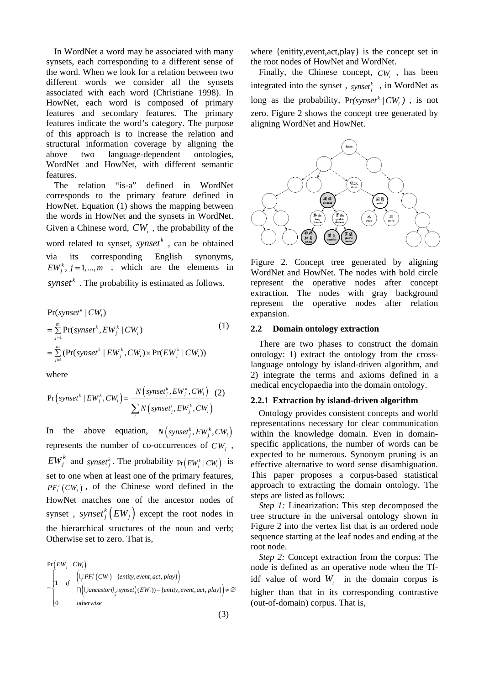In WordNet a word may be associated with many synsets, each corresponding to a different sense of the word. When we look for a relation between two different words we consider all the synsets associated with each word (Christiane 1998). In HowNet, each word is composed of primary features and secondary features. The primary features indicate the word's category. The purpose of this approach is to increase the relation and structural information coverage by aligning the above two language-dependent ontologies, WordNet and HowNet, with different semantic features.

The relation "is-a" defined in WordNet corresponds to the primary feature defined in HowNet. Equation (1) shows the mapping between the words in HowNet and the synsets in WordNet. Given a Chinese word,  $CW_i$ , the probability of the word related to synset,  $synset^k$ , can be obtained via its corresponding English synonyms,  $EW_i^k$ ,  $j = 1,..., m$ , which are the elements in *synset*<sup> $k$ </sup>. The probability is estimated as follows.

$$
Pr(synset^{k} | CW_{i})
$$
\n
$$
= \sum_{j=1}^{m} Pr(synset^{k}, EW_{j}^{k} | CW_{i})
$$
\n
$$
= \sum_{j=1}^{m} (Pr(synset^{k} | EW_{j}^{k}, CW_{i}) \times Pr(EW_{j}^{k} | CW_{i}))
$$
\n(1)

where

$$
Pr\left(synset^{k} \mid EW_{j}^{k}, CW_{i}\right) = \frac{N\left(synset_{j}^{k}, EW_{j}^{k}, CW_{i}\right)}{\sum_{i} N\left(synset_{j}^{l}, EW_{j}^{k}, CW_{i}\right)} (2)
$$

In the above equation,  $N \left( \textit{synset}^k_i, \textit{EW}^k_i, \textit{CW}^i_i \right)$ represents the number of co-occurrences of  $CW_i$ ,  $EW_j^k$  and *synset*<sup>*k*</sup></sup>. The probability  $Pr(EW_j^k | CW_i)$  is set to one when at least one of the primary features,  $PF_i^l(CW_i)$ , of the Chinese word defined in the HowNet matches one of the ancestor nodes of synset,  $synset^{k}$   $(EW_{j})$  except the root nodes in the hierarchical structures of the noun and verb; Otherwise set to zero. That is,

$$
\Pr(EW_j | CW_i)
$$
\n
$$
= \begin{cases}\n\left\{\bigcup_{i} PF_i^t(CW_i) - \{\text{entity}, \text{event}, act, play}\right\} \\
\bigcap_{i} \left(\bigcup_{i} Oncestor(\bigcup_{x} synset_{i}^k(EW_i)) - \{\text{entity}, \text{event}, act, play}\right) \neq \emptyset \\
0 \quad \text{otherwise}\n\end{cases}
$$

(3)

where {enitity,event,act,play} is the concept set in the root nodes of HowNet and WordNet.

Finally, the Chinese concept, *CW*, has been integrated into the synset,  $_{synset}^k$ , in WordNet as long as the probability,  $Pr(synset^{k}/CW_{i})$ , is not zero. Figure 2 shows the concept tree generated by aligning WordNet and HowNet.



Figure 2. Concept tree generated by aligning WordNet and HowNet. The nodes with bold circle represent the operative nodes after concept extraction. The nodes with gray background represent the operative nodes after relation expansion.

#### **2.2 Domain ontology extraction**

There are two phases to construct the domain ontology: 1) extract the ontology from the crosslanguage ontology by island-driven algorithm, and 2) integrate the terms and axioms defined in a medical encyclopaedia into the domain ontology.

#### **2.2.1 Extraction by island-driven algorithm**

Ontology provides consistent concepts and world representations necessary for clear communication within the knowledge domain. Even in domainspecific applications, the number of words can be expected to be numerous. Synonym pruning is an effective alternative to word sense disambiguation. This paper proposes a corpus-based statistical approach to extracting the domain ontology. The steps are listed as follows:

*Step 1:* Linearization: This step decomposed the tree structure in the universal ontology shown in Figure 2 into the vertex list that is an ordered node sequence starting at the leaf nodes and ending at the root node.

*Step 2:* Concept extraction from the corpus: The node is defined as an operative node when the Tfidf value of word  $W_i$  in the domain corpus is higher than that in its corresponding contrastive (out-of-domain) corpus. That is,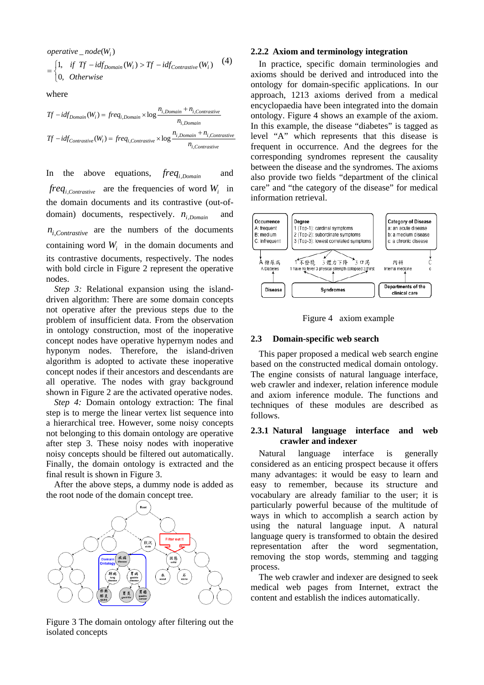$$ 

$$
= \begin{cases} 1, & if \text{ } Tf - idf_{Domain}(W_i) > Tf - idf_{Contrastive}(W_i) \quad (4) \\ 0, & Otherwise \end{cases}
$$

where

$$
Tf - idf_{Domain}(W_i) = freq_{i,Domain} \times \log \frac{n_{i,Domain} + n_{i,Contrastive}}{n_{i,Domain}}
$$
  

$$
Tf - idf_{Contrastive}(W_i) = freq_{i,Contrastive} \times \log \frac{n_{i,Domain} + n_{i,Contrastive}}{n_{i,Contrastive}}
$$

In the above equations,  $freq_{i,Domain}$  and  $freq$ , *Contrastive* are the frequencies of word  $W_i$  in the domain documents and its contrastive (out-ofdomain) documents, respectively.  $n_{i,Domain}$  and  $n_{i,Contrastive}$  are the numbers of the documents containing word *W<sub>i</sub>* in the domain documents and its contrastive documents, respectively. The nodes with bold circle in Figure 2 represent the operative nodes.

*Step 3:* Relational expansion using the islanddriven algorithm: There are some domain concepts not operative after the previous steps due to the problem of insufficient data. From the observation in ontology construction, most of the inoperative concept nodes have operative hypernym nodes and hyponym nodes. Therefore, the island-driven algorithm is adopted to activate these inoperative concept nodes if their ancestors and descendants are all operative. The nodes with gray background shown in Figure 2 are the activated operative nodes.

*Step 4:* Domain ontology extraction: The final step is to merge the linear vertex list sequence into a hierarchical tree. However, some noisy concepts not belonging to this domain ontology are operative after step 3. These noisy nodes with inoperative noisy concepts should be filtered out automatically. Finally, the domain ontology is extracted and the final result is shown in Figure 3.

After the above steps, a dummy node is added as the root node of the domain concept tree.



Figure 3 The domain ontology after filtering out the isolated concepts

#### **2.2.2 Axiom and terminology integration**

In practice, specific domain terminologies and axioms should be derived and introduced into the ontology for domain-specific applications. In our approach, 1213 axioms derived from a medical encyclopaedia have been integrated into the domain ontology. Figure 4 shows an example of the axiom. In this example, the disease "diabetes" is tagged as level "A" which represents that this disease is frequent in occurrence. And the degrees for the corresponding syndromes represent the causality between the disease and the syndromes. The axioms also provide two fields "department of the clinical care" and "the category of the disease" for medical information retrieval.



Figure 4 axiom example

#### **2.3 Domain-specific web search**

This paper proposed a medical web search engine based on the constructed medical domain ontology. The engine consists of natural language interface, web crawler and indexer, relation inference module and axiom inference module. The functions and techniques of these modules are described as follows.

#### **2.3.1 Natural language interface and web crawler and indexer**

Natural language interface is generally considered as an enticing prospect because it offers many advantages: it would be easy to learn and easy to remember, because its structure and vocabulary are already familiar to the user; it is particularly powerful because of the multitude of ways in which to accomplish a search action by using the natural language input. A natural language query is transformed to obtain the desired representation after the word segmentation, removing the stop words, stemming and tagging process.

The web crawler and indexer are designed to seek medical web pages from Internet, extract the content and establish the indices automatically.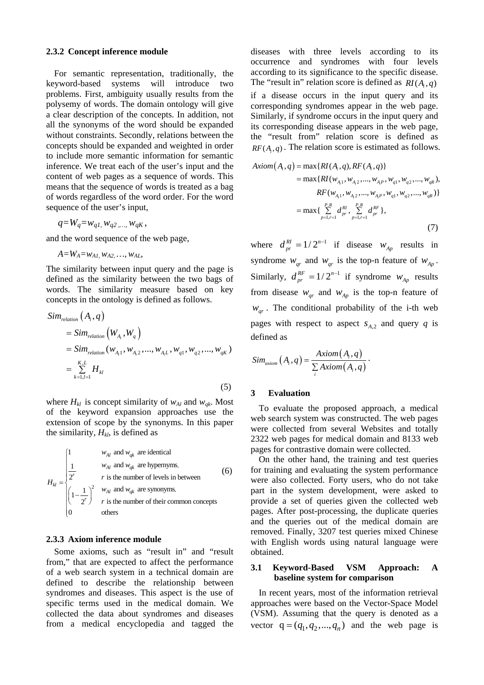#### **2.3.2 Concept inference module**

For semantic representation, traditionally, the keyword-based systems will introduce two problems. First, ambiguity usually results from the polysemy of words. The domain ontology will give a clear description of the concepts. In addition, not all the synonyms of the word should be expanded without constraints. Secondly, relations between the concepts should be expanded and weighted in order to include more semantic information for semantic inference. We treat each of the user's input and the content of web pages as a sequence of words. This means that the sequence of words is treated as a bag of words regardless of the word order. For the word sequence of the user's input,

$$
q = W_q = w_{q1}, w_{q2}, \ldots, w_{qK},
$$

and the word sequence of the web page,

$$
A=W_A=w_{A1}, w_{A2}, ..., w_{AL}
$$

The similarity between input query and the page is defined as the similarity between the two bags of words. The similarity measure based on key concepts in the ontology is defined as follows.

$$
Sim_{relation}(A_i, q)
$$
  
= Sim\_{relation}(W\_{A\_i}, W\_q)  
= Sim\_{relation}(W\_{A\_i1}, W\_{A\_i2}, ..., W\_{A\_iL}, W\_{q1}, W\_{q2}, ..., W\_{qK})  
= 
$$
\sum_{k=1, l=1}^{K, L} H_{kl}
$$
 (5)

where  $H_{kl}$  is concept similarity of  $w_{Al}$  and  $w_{qk}$ . Most of the keyword expansion approaches use the extension of scope by the synonyms. In this paper the similarity,  $H_{kl}$ , is defined as

$$
H_{kl} = \begin{cases} 1 & w_{Al} \text{ and } w_{qk} \text{ are identical} \\ \frac{1}{2^r} & r \text{ is the number of levels in between} \\ \left(1 - \frac{1}{2^r}\right)^2 & \frac{w_{Al}}{r} \text{ and } w_{qk} \text{ are synonyms,} \\ r \text{ is the number of their common concepts} \\ 0 & \text{others} \end{cases}
$$
(6)

#### **2.3.3 Axiom inference module**

Some axioms, such as "result in" and "result from," that are expected to affect the performance of a web search system in a technical domain are defined to describe the relationship between syndromes and diseases. This aspect is the use of specific terms used in the medical domain. We collected the data about syndromes and diseases from a medical encyclopedia and tagged the

diseases with three levels according to its occurrence and syndromes with four levels according to its significance to the specific disease. The "result in" relation score is defined as  $R I(A, q)$ if a disease occurs in the input query and its corresponding syndromes appear in the web page. Similarly, if syndrome occurs in the input query and its corresponding disease appears in the web page, the "result from" relation score is defined as  $RF(A,q)$ . The relation score is estimated as follows.

$$
Axiom(A_i, q) = \max\{RI(A_i, q), RF(A_i, q)\}
$$
  
= max{ $RI(w_{A_i1}, w_{A_i2}, ..., w_{A_iP}, w_{q1}, w_{q2}, ..., w_{qR})$ ,  
 $RF(w_{A_i1}, w_{A_i2}, ..., w_{A_iP}, w_{q1}, w_{q2}, ..., w_{qR})\}$   
= max{ $\sum_{p=1, r=1}^{P,R} d_{pr}^{RI}, \sum_{p=1, r=1}^{P,R} d_{pr}^{RF}$ }, (7)

where  $d_{pr}^{RI} = 1/2^{n-1}$  if disease  $w_{Ap}$  results in syndrome  $w_{qr}$  and  $w_{qr}$  is the top-n feature of  $w_{Ap}$ . Similarly,  $d_{pr}^{RF} = 1/2^{n-1}$  if syndrome  $w_{Ap}$  results from disease  $W_{qr}$  and  $W_{Ap}$  is the top-n feature of  $w_{\text{ar}}$ . The conditional probability of the i-th web pages with respect to aspect  $s_{A,2}$  and query *q* is defined as

$$
Sim_{axiom} (A_i, q) = \frac{Axiom(A_i, q)}{\sum\limits_i Axiom(A_i, q)}.
$$

#### **3 Evaluation**

To evaluate the proposed approach, a medical web search system was constructed. The web pages were collected from several Websites and totally 2322 web pages for medical domain and 8133 web pages for contrastive domain were collected.

On the other hand, the training and test queries for training and evaluating the system performance were also collected. Forty users, who do not take part in the system development, were asked to provide a set of queries given the collected web pages. After post-processing, the duplicate queries and the queries out of the medical domain are removed. Finally, 3207 test queries mixed Chinese with English words using natural language were obtained.

#### **3.1 Keyword-Based VSM Approach: A baseline system for comparison**

In recent years, most of the information retrieval approaches were based on the Vector-Space Model (VSM). Assuming that the query is denoted as a vector  $q = (q_1, q_2, ..., q_n)$  and the web page is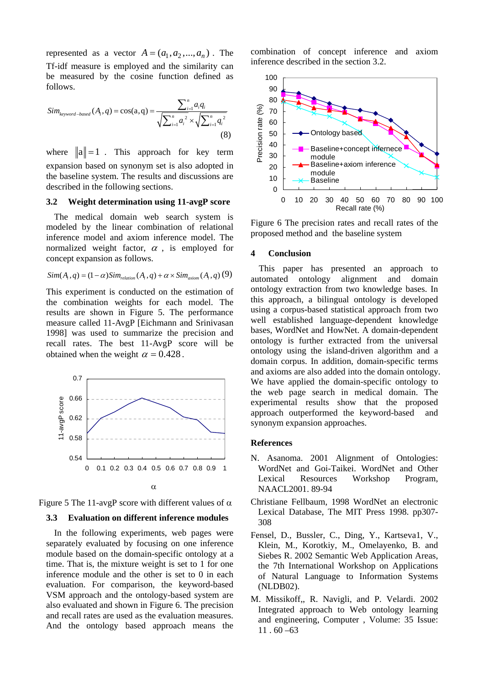represented as a vector  $A = (a_1, a_2, ..., a_n)$ . The Tf-idf measure is employed and the similarity can be measured by the cosine function defined as follows.

$$
Sim_{\text{keyword-based}}(A_i, q) = \cos(a, q) = \frac{\sum_{i=1}^{n} a_i q_i}{\sqrt{\sum_{i=1}^{n} a_i^2} \times \sqrt{\sum_{i=1}^{n} q_i^2}}
$$
\n(8)

where  $\|\mathbf{a}\| = 1$ . This approach for key term expansion based on synonym set is also adopted in the baseline system. The results and discussions are described in the following sections.

## **3.2 Weight determination using 11-avgP score**

The medical domain web search system is modeled by the linear combination of relational inference model and axiom inference model. The normalized weight factor,  $\alpha$ , is employed for concept expansion as follows.

$$
Sim(A_i, q) = (1 - \alpha) Sim_{relation}(A_i, q) + \alpha \times Sim_{axiom}(A_i, q)
$$
 (9)

This experiment is conducted on the estimation of the combination weights for each model. The results are shown in Figure 5. The performance measure called 11-AvgP [Eichmann and Srinivasan 1998] was used to summarize the precision and recall rates. The best 11-AvgP score will be obtained when the weight  $\alpha = 0.428$ .



Figure 5 The 11-avgP score with different values of  $\alpha$ 

#### **3.3 Evaluation on different inference modules**

In the following experiments, web pages were separately evaluated by focusing on one inference module based on the domain-specific ontology at a time. That is, the mixture weight is set to 1 for one inference module and the other is set to 0 in each evaluation. For comparison, the keyword-based VSM approach and the ontology-based system are also evaluated and shown in Figure 6. The precision and recall rates are used as the evaluation measures. And the ontology based approach means the

combination of concept inference and axiom inference described in the section 3.2.



Figure 6 The precision rates and recall rates of the proposed method and the baseline system

#### **4 Conclusion**

This paper has presented an approach to automated ontology alignment and domain ontology extraction from two knowledge bases. In this approach, a bilingual ontology is developed using a corpus-based statistical approach from two well established language-dependent knowledge bases, WordNet and HowNet. A domain-dependent ontology is further extracted from the universal ontology using the island-driven algorithm and a domain corpus. In addition, domain-specific terms and axioms are also added into the domain ontology. We have applied the domain-specific ontology to the web page search in medical domain. The experimental results show that the proposed approach outperformed the keyword-based and synonym expansion approaches.

#### **References**

- N. Asanoma. 2001 Alignment of Ontologies: WordNet and Goi-Taikei. WordNet and Other Lexical Resources Workshop Program, NAACL2001. 89-94
- Christiane Fellbaum, 1998 WordNet an electronic Lexical Database, The MIT Press 1998. pp307- 308
- Fensel, D., Bussler, C., Ding, Y., Kartseva1, V., Klein, M., Korotkiy, M., Omelayenko, B. and Siebes R. 2002 Semantic Web Application Areas, the 7th International Workshop on Applications of Natural Language to Information Systems (NLDB02).
- M. Missikoff,, R. Navigli, and P. Velardi. 2002 Integrated approach to Web ontology learning and engineering, Computer , Volume: 35 Issue:  $11.60 - 63$